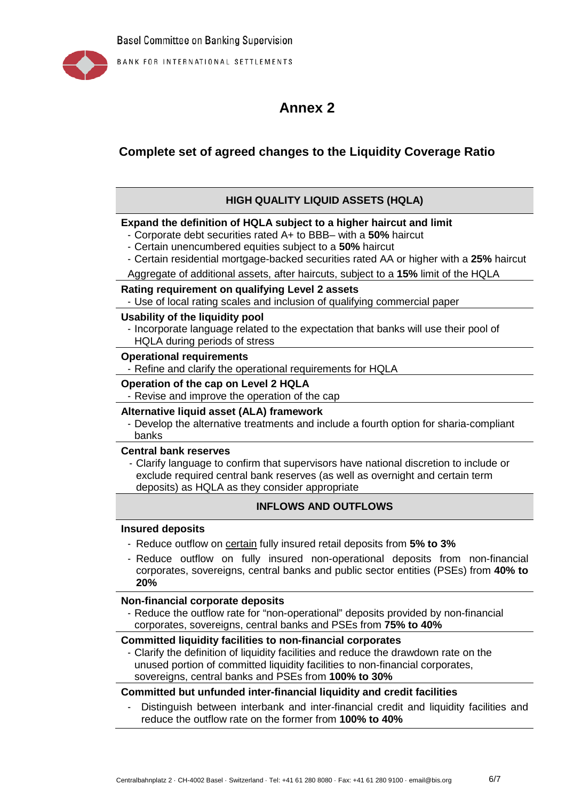

BANK FOR INTERNATIONAL SETTLEMENTS

# **Annex 2**

# **Complete set of agreed changes to the Liquidity Coverage Ratio**

# **HIGH QUALITY LIQUID ASSETS (HQLA)**

# **Expand the definition of HQLA subject to a higher haircut and limit**

- Corporate debt securities rated A+ to BBB– with a **50%** haircut
- Certain unencumbered equities subject to a **50%** haircut
- Certain residential mortgage-backed securities rated AA or higher with a **25%** haircut
- Aggregate of additional assets, after haircuts, subject to a **15%** limit of the HQLA

#### **Rating requirement on qualifying Level 2 assets**

- Use of local rating scales and inclusion of qualifying commercial paper

#### **Usability of the liquidity pool**

- Incorporate language related to the expectation that banks will use their pool of HQLA during periods of stress

#### **Operational requirements**

- Refine and clarify the operational requirements for HQLA

## **Operation of the cap on Level 2 HQLA**

- Revise and improve the operation of the cap

# **Alternative liquid asset (ALA) framework**

- Develop the alternative treatments and include a fourth option for sharia-compliant banks

#### **Central bank reserves**

- Clarify language to confirm that supervisors have national discretion to include or exclude required central bank reserves (as well as overnight and certain term deposits) as HQLA as they consider appropriate

# **INFLOWS AND OUTFLOWS**

## **Insured deposits**

- Reduce outflow on certain fully insured retail deposits from **5% to 3%**
- Reduce outflow on fully insured non-operational deposits from non-financial corporates, sovereigns, central banks and public sector entities (PSEs) from **40% to 20%**

#### **Non-financial corporate deposits**

- Reduce the outflow rate for "non-operational" deposits provided by non-financial corporates, sovereigns, central banks and PSEs from **75% to 40%**

# **Committed liquidity facilities to non-financial corporates**

Clarify the definition of liquidity facilities and reduce the drawdown rate on the unused portion of committed liquidity facilities to non-financial corporates, sovereigns, central banks and PSEs from **100% to 30%**

# **Committed but unfunded inter-financial liquidity and credit facilities**

Distinguish between interbank and inter-financial credit and liquidity facilities and reduce the outflow rate on the former from **100% to 40%**